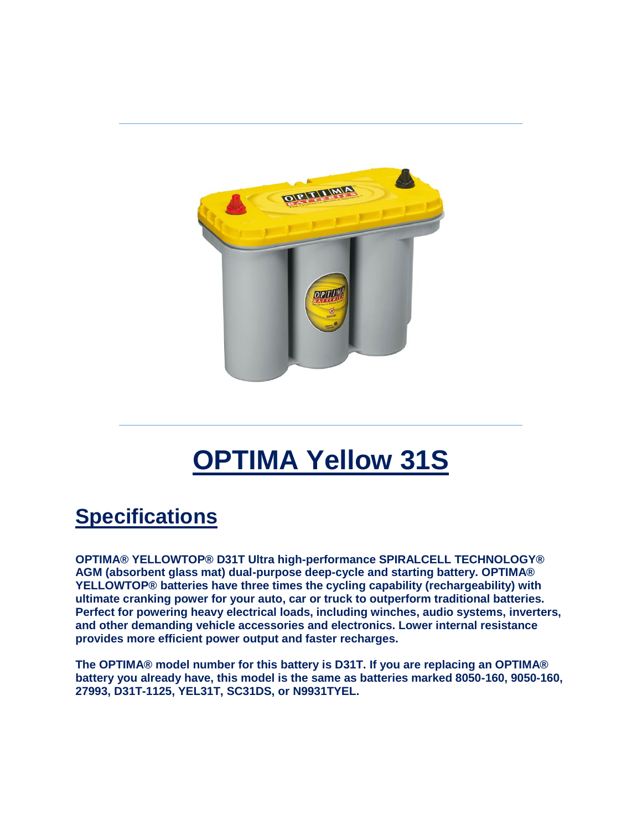

## **OPTIMA Yellow 31S**

## **Specifications**

**OPTIMA® YELLOWTOP® D31T Ultra high-performance SPIRALCELL TECHNOLOGY® AGM (absorbent glass mat) dual-purpose deep-cycle and starting battery. OPTIMA® YELLOWTOP® batteries have three times the cycling capability (rechargeability) with ultimate cranking power for your auto, car or truck to outperform traditional batteries. Perfect for powering heavy electrical loads, including winches, audio systems, inverters, and other demanding vehicle accessories and electronics. Lower internal resistance provides more efficient power output and faster recharges.**

**The OPTIMA® model number for this battery is D31T. If you are replacing an OPTIMA® battery you already have, this model is the same as batteries marked 8050-160, 9050-160, 27993, D31T-1125, YEL31T, SC31DS, or N9931TYEL.**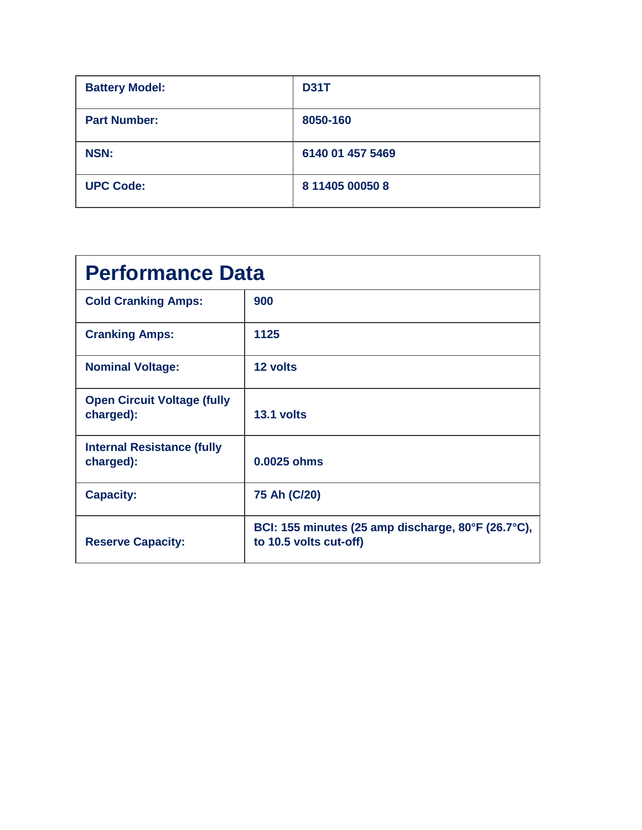| <b>Battery Model:</b> | <b>D31T</b>      |
|-----------------------|------------------|
| <b>Part Number:</b>   | 8050-160         |
| <b>NSN:</b>           | 6140 01 457 5469 |
| <b>UPC Code:</b>      | 8 11405 00050 8  |

| <b>Performance Data</b>                         |                                                                              |  |
|-------------------------------------------------|------------------------------------------------------------------------------|--|
| <b>Cold Cranking Amps:</b>                      | 900                                                                          |  |
| <b>Cranking Amps:</b>                           | 1125                                                                         |  |
| <b>Nominal Voltage:</b>                         | 12 volts                                                                     |  |
| <b>Open Circuit Voltage (fully</b><br>charged): | 13.1 volts                                                                   |  |
| <b>Internal Resistance (fully</b><br>charged):  | $0.0025$ ohms                                                                |  |
| <b>Capacity:</b>                                | 75 Ah (C/20)                                                                 |  |
| <b>Reserve Capacity:</b>                        | BCI: 155 minutes (25 amp discharge, 80°F (26.7°C),<br>to 10.5 volts cut-off) |  |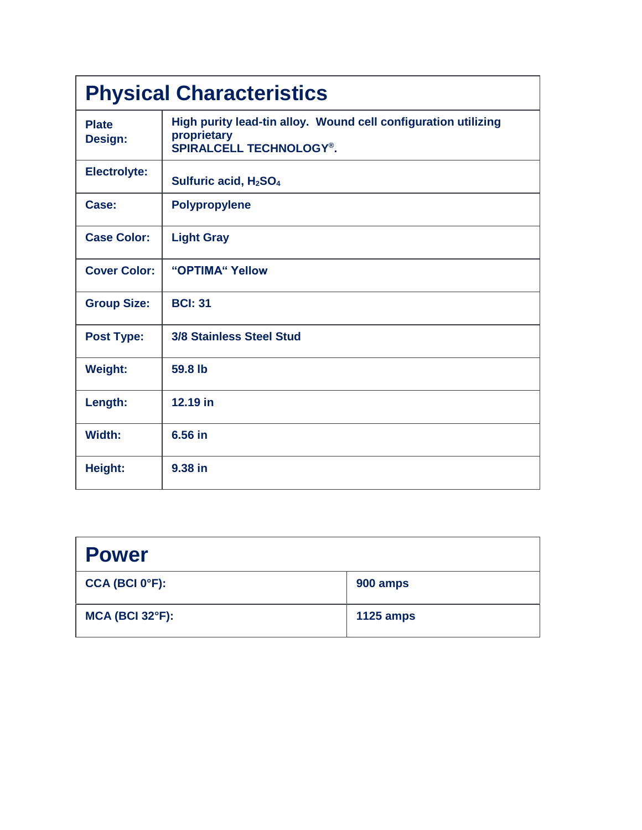| <b>Physical Characteristics</b> |                                                                                                                 |  |
|---------------------------------|-----------------------------------------------------------------------------------------------------------------|--|
| <b>Plate</b><br>Design:         | High purity lead-tin alloy. Wound cell configuration utilizing<br>proprietary<br><b>SPIRALCELL TECHNOLOGY®.</b> |  |
| <b>Electrolyte:</b>             | Sulfuric acid, H <sub>2</sub> SO <sub>4</sub>                                                                   |  |
| Case:                           | <b>Polypropylene</b>                                                                                            |  |
| <b>Case Color:</b>              | <b>Light Gray</b>                                                                                               |  |
| <b>Cover Color:</b>             | "OPTIMA" Yellow                                                                                                 |  |
| <b>Group Size:</b>              | <b>BCI: 31</b>                                                                                                  |  |
| <b>Post Type:</b>               | <b>3/8 Stainless Steel Stud</b>                                                                                 |  |
| <b>Weight:</b>                  | 59.8 lb                                                                                                         |  |
| Length:                         | 12.19 in                                                                                                        |  |
| Width:                          | 6.56 in                                                                                                         |  |
| Height:                         | 9.38 in                                                                                                         |  |

| <b>Power</b>                |                  |
|-----------------------------|------------------|
| CCA (BCI 0 <sup>o</sup> F): | 900 amps         |
| $MCA$ (BCI 32 $\degree$ F): | <b>1125 amps</b> |